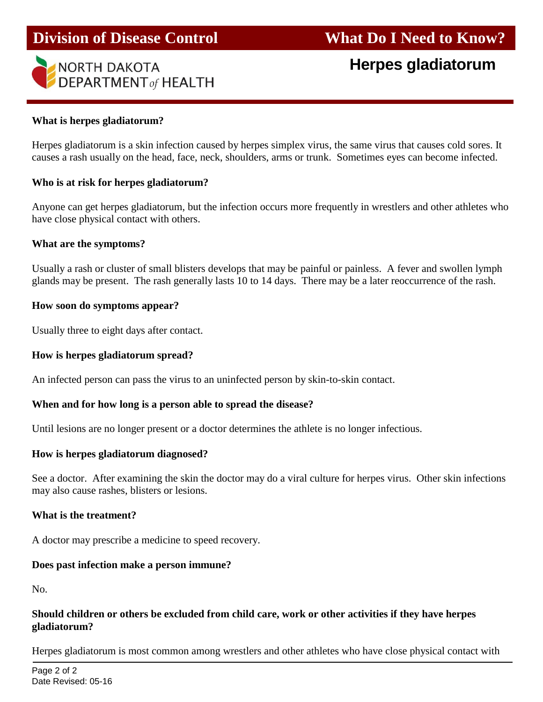

# **Herpes gladiatorum**

## **What is herpes gladiatorum?**

Herpes gladiatorum is a skin infection caused by herpes simplex virus, the same virus that causes cold sores. It causes a rash usually on the head, face, neck, shoulders, arms or trunk. Sometimes eyes can become infected.

### **Who is at risk for herpes gladiatorum?**

Anyone can get herpes gladiatorum, but the infection occurs more frequently in wrestlers and other athletes who have close physical contact with others.

#### **What are the symptoms?**

Usually a rash or cluster of small blisters develops that may be painful or painless. A fever and swollen lymph glands may be present. The rash generally lasts 10 to 14 days. There may be a later reoccurrence of the rash.

### **How soon do symptoms appear?**

Usually three to eight days after contact.

#### **How is herpes gladiatorum spread?**

An infected person can pass the virus to an uninfected person by skin-to-skin contact.

#### **When and for how long is a person able to spread the disease?**

Until lesions are no longer present or a doctor determines the athlete is no longer infectious.

#### **How is herpes gladiatorum diagnosed?**

See a doctor. After examining the skin the doctor may do a viral culture for herpes virus. Other skin infections may also cause rashes, blisters or lesions.

#### **What is the treatment?**

A doctor may prescribe a medicine to speed recovery.

#### **Does past infection make a person immune?**

No.

# **Should children or others be excluded from child care, work or other activities if they have herpes gladiatorum?**

Herpes gladiatorum is most common among wrestlers and other athletes who have close physical contact with